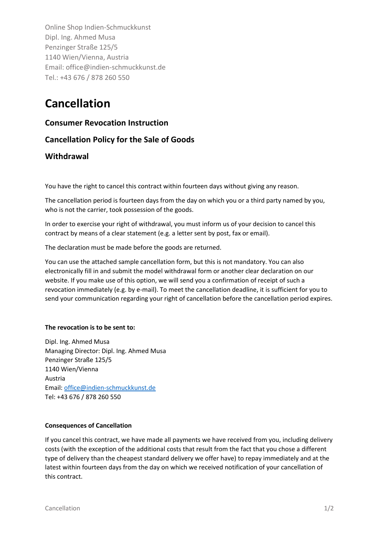Online Shop Indien-Schmuckkunst Dipl. Ing. Ahmed Musa Penzinger Straße 125/5 1140 Wien/Vienna, Austria Email: office@indien-schmuckkunst.de Tel.: +43 676 / 878 260 550

# **Cancellation**

## **Consumer Revocation Instruction**

# **Cancellation Policy for the Sale of Goods**

## **Withdrawal**

You have the right to cancel this contract within fourteen days without giving any reason.

The cancellation period is fourteen days from the day on which you or a third party named by you, who is not the carrier, took possession of the goods.

In order to exercise your right of withdrawal, you must inform us of your decision to cancel this contract by means of a clear statement (e.g. a letter sent by post, fax or email).

The declaration must be made before the goods are returned.

You can use the attached sample cancellation form, but this is not mandatory. You can also electronically fill in and submit the model withdrawal form or another clear declaration on our website. If you make use of this option, we will send you a confirmation of receipt of such a revocation immediately (e.g. by e-mail). To meet the cancellation deadline, it is sufficient for you to send your communication regarding your right of cancellation before the cancellation period expires.

## **The revocation is to be sent to:**

Dipl. Ing. Ahmed Musa Managing Director: Dipl. Ing. Ahmed Musa Penzinger Straße 125/5 1140 Wien/Vienna Austria Email: [office@indien-schmuckkunst.de](mailto:office@indien-schmuckkunst.de) Tel: +43 676 / 878 260 550

## **Consequences of Cancellation**

If you cancel this contract, we have made all payments we have received from you, including delivery costs (with the exception of the additional costs that result from the fact that you chose a different type of delivery than the cheapest standard delivery we offer have) to repay immediately and at the latest within fourteen days from the day on which we received notification of your cancellation of this contract.